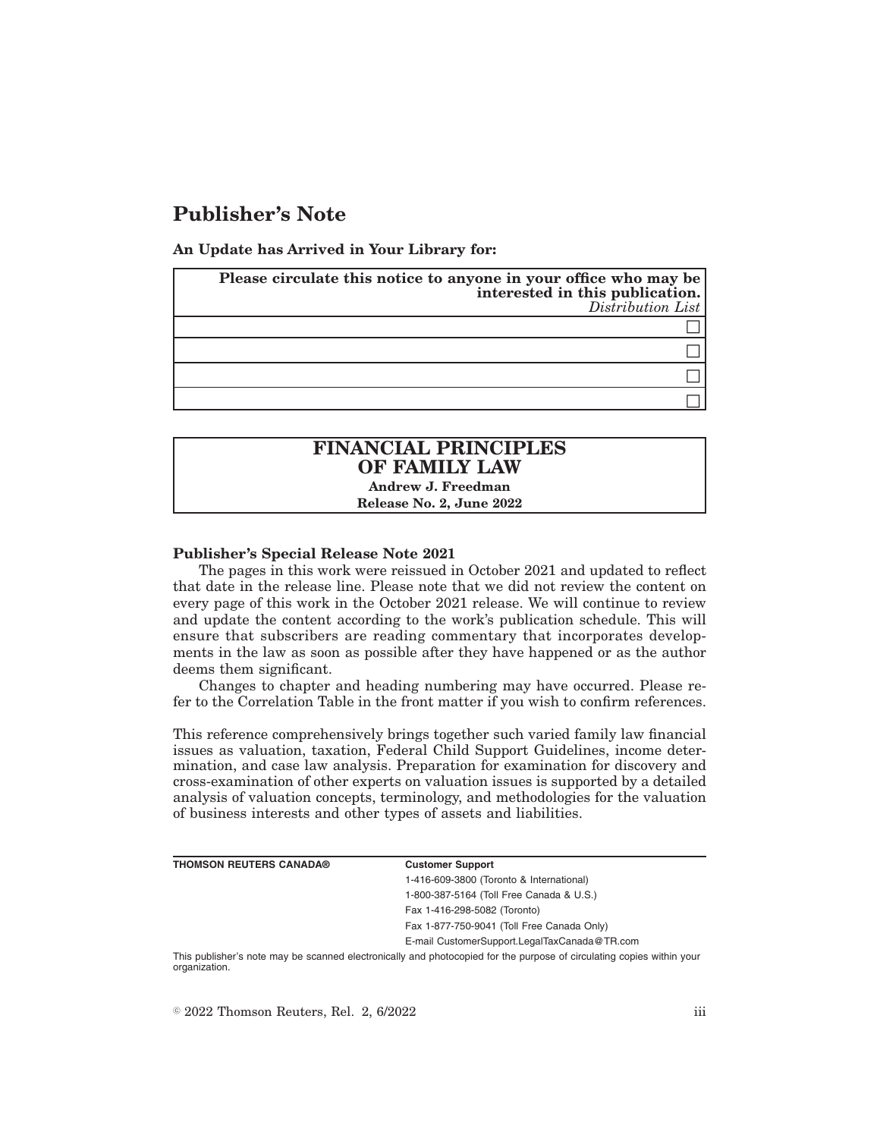# **Publisher's Note**

**An Update has Arrived in Your Library for:**

| Please circulate this notice to anyone in your office who may be<br>interested in this publication.<br>Distribution List |
|--------------------------------------------------------------------------------------------------------------------------|
|                                                                                                                          |
|                                                                                                                          |
|                                                                                                                          |
|                                                                                                                          |

## **FINANCIAL PRINCIPLES OF FAMILY LAW**

**Andrew J. Freedman Release No. 2, June 2022**

### **Publisher's Special Release Note 2021**

The pages in this work were reissued in October 2021 and updated to reflect that date in the release line. Please note that we did not review the content on every page of this work in the October 2021 release. We will continue to review and update the content according to the work's publication schedule. This will ensure that subscribers are reading commentary that incorporates developments in the law as soon as possible after they have happened or as the author deems them significant.

Changes to chapter and heading numbering may have occurred. Please refer to the Correlation Table in the front matter if you wish to confirm references.

This reference comprehensively brings together such varied family law financial issues as valuation, taxation, Federal Child Support Guidelines, income determination, and case law analysis. Preparation for examination for discovery and cross-examination of other experts on valuation issues is supported by a detailed analysis of valuation concepts, terminology, and methodologies for the valuation of business interests and other types of assets and liabilities.

| <b>THOMSON REUTERS CANADA®</b> | <b>Customer Support</b>                      |
|--------------------------------|----------------------------------------------|
|                                | 1-416-609-3800 (Toronto & International)     |
|                                | 1-800-387-5164 (Toll Free Canada & U.S.)     |
|                                | Fax 1-416-298-5082 (Toronto)                 |
|                                | Fax 1-877-750-9041 (Toll Free Canada Only)   |
|                                | E-mail CustomerSupport.LegalTaxCanada@TR.com |
| $-1$                           |                                              |

This publisher's note may be scanned electronically and photocopied for the purpose of circulating copies within your organization.

 $\degree$  2022 Thomson Reuters, Rel. 2, 6/2022 iii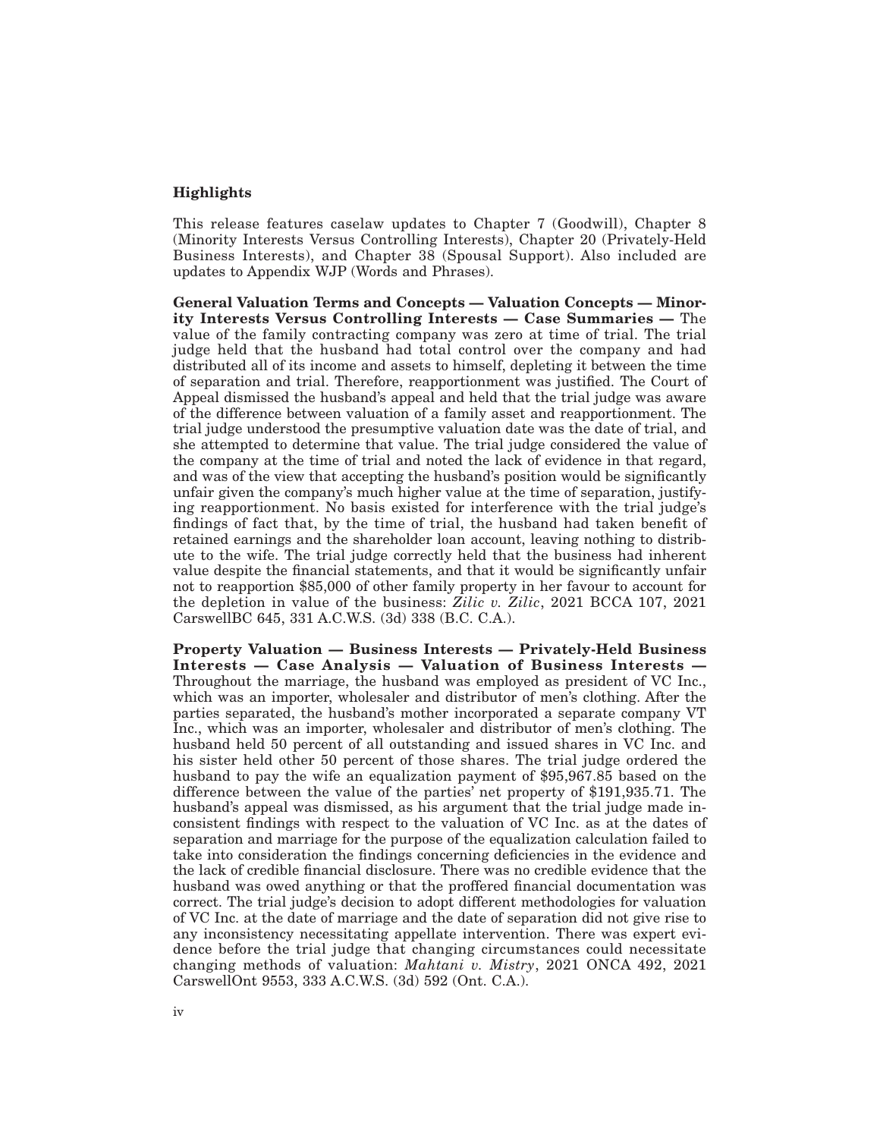#### **Highlights**

This release features caselaw updates to Chapter 7 (Goodwill), Chapter 8 (Minority Interests Versus Controlling Interests), Chapter 20 (Privately-Held Business Interests), and Chapter 38 (Spousal Support). Also included are updates to Appendix WJP (Words and Phrases).

**General Valuation Terms and Concepts — Valuation Concepts — Minority Interests Versus Controlling Interests — Case Summaries —** The value of the family contracting company was zero at time of trial. The trial judge held that the husband had total control over the company and had distributed all of its income and assets to himself, depleting it between the time of separation and trial. Therefore, reapportionment was justified. The Court of Appeal dismissed the husband's appeal and held that the trial judge was aware of the difference between valuation of a family asset and reapportionment. The trial judge understood the presumptive valuation date was the date of trial, and she attempted to determine that value. The trial judge considered the value of the company at the time of trial and noted the lack of evidence in that regard, and was of the view that accepting the husband's position would be significantly unfair given the company's much higher value at the time of separation, justifying reapportionment. No basis existed for interference with the trial judge's findings of fact that, by the time of trial, the husband had taken benefit of retained earnings and the shareholder loan account, leaving nothing to distribute to the wife. The trial judge correctly held that the business had inherent value despite the financial statements, and that it would be significantly unfair not to reapportion \$85,000 of other family property in her favour to account for the depletion in value of the business: *Zilic v. Zilic*, 2021 BCCA 107, 2021 CarswellBC 645, 331 A.C.W.S. (3d) 338 (B.C. C.A.).

**Property Valuation — Business Interests — Privately-Held Business Interests — Case Analysis — Valuation of Business Interests —** Throughout the marriage, the husband was employed as president of VC Inc., which was an importer, wholesaler and distributor of men's clothing. After the parties separated, the husband's mother incorporated a separate company VT Inc., which was an importer, wholesaler and distributor of men's clothing. The husband held 50 percent of all outstanding and issued shares in VC Inc. and his sister held other 50 percent of those shares. The trial judge ordered the husband to pay the wife an equalization payment of \$95,967.85 based on the difference between the value of the parties' net property of \$191,935.71. The husband's appeal was dismissed, as his argument that the trial judge made inconsistent findings with respect to the valuation of VC Inc. as at the dates of separation and marriage for the purpose of the equalization calculation failed to take into consideration the findings concerning deficiencies in the evidence and the lack of credible financial disclosure. There was no credible evidence that the husband was owed anything or that the proffered financial documentation was correct. The trial judge's decision to adopt different methodologies for valuation of VC Inc. at the date of marriage and the date of separation did not give rise to any inconsistency necessitating appellate intervention. There was expert evidence before the trial judge that changing circumstances could necessitate changing methods of valuation: *Mahtani v. Mistry*, 2021 ONCA 492, 2021 CarswellOnt 9553, 333 A.C.W.S. (3d) 592 (Ont. C.A.).